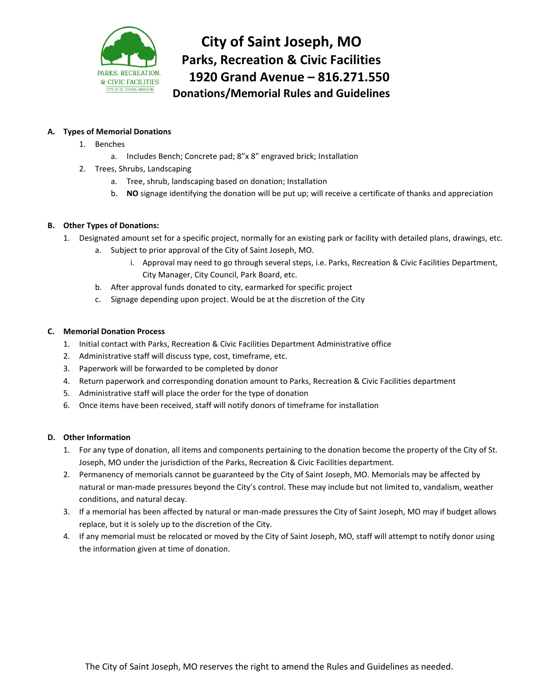

**City of Saint Joseph, MO Parks, Recreation & Civic Facilities 1920 Grand Avenue – 816.271.550 Donations/Memorial Rules and Guidelines**

### **A. Types of Memorial Donations**

- 1. Benches
	- a. Includes Bench; Concrete pad; 8"x 8" engraved brick; Installation
- 2. Trees, Shrubs, Landscaping
	- a. Tree, shrub, landscaping based on donation; Installation
	- b. **NO** signage identifying the donation will be put up; will receive a certificate of thanks and appreciation

### **B. Other Types of Donations:**

- 1. Designated amount set for a specific project, normally for an existing park or facility with detailed plans, drawings, etc.
	- a. Subject to prior approval of the City of Saint Joseph, MO.
		- i. Approval may need to go through several steps, i.e. Parks, Recreation & Civic Facilities Department, City Manager, City Council, Park Board, etc.
	- b. After approval funds donated to city, earmarked for specific project
	- c. Signage depending upon project. Would be at the discretion of the City

### **C. Memorial Donation Process**

- 1. Initial contact with Parks, Recreation & Civic Facilities Department Administrative office
- 2. Administrative staff will discuss type, cost, timeframe, etc.
- 3. Paperwork will be forwarded to be completed by donor
- 4. Return paperwork and corresponding donation amount to Parks, Recreation & Civic Facilities department
- 5. Administrative staff will place the order for the type of donation
- 6. Once items have been received, staff will notify donors of timeframe for installation

### **D. Other Information**

- 1. For any type of donation, all items and components pertaining to the donation become the property of the City of St. Joseph, MO under the jurisdiction of the Parks, Recreation & Civic Facilities department.
- 2. Permanency of memorials cannot be guaranteed by the City of Saint Joseph, MO. Memorials may be affected by natural or man-made pressures beyond the City's control. These may include but not limited to, vandalism, weather conditions, and natural decay.
- 3. If a memorial has been affected by natural or man-made pressures the City of Saint Joseph, MO may if budget allows replace, but it is solely up to the discretion of the City.
- 4. If any memorial must be relocated or moved by the City of Saint Joseph, MO, staff will attempt to notify donor using the information given at time of donation.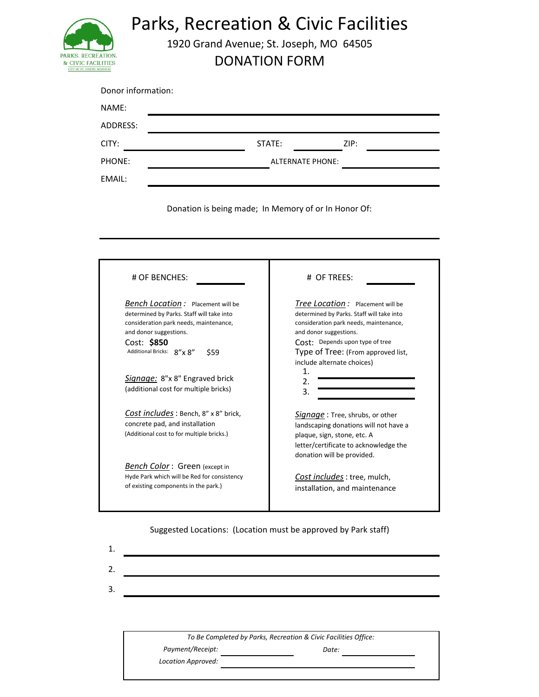

Parks, Recreation & Civic Facilities

1920 Grand Avenue; St. Joseph, MO 64505

DONATION FORM

| Donor information: |                         |      |
|--------------------|-------------------------|------|
| NAME:              |                         |      |
| ADDRESS:           |                         |      |
| CITY:              | STATE:                  | ZIP: |
| PHONE:             | <b>ALTERNATE PHONE:</b> |      |
| EMAIL:             |                         |      |

Donation is being made; In Memory of or In Honor Of:

| # OF BENCHES:                                                                                                                                                                                                 | # OF TREES:                                                                                                                                                                                                                       |
|---------------------------------------------------------------------------------------------------------------------------------------------------------------------------------------------------------------|-----------------------------------------------------------------------------------------------------------------------------------------------------------------------------------------------------------------------------------|
| <b>Bench Location:</b> Placement will be<br>determined by Parks. Staff will take into<br>consideration park needs, maintenance,<br>and donor suggestions.<br>Cost: \$850<br>Additional Bricks: 8"x 8"<br>\$59 | <b>Tree Location:</b> Placement will be<br>determined by Parks. Staff will take into<br>consideration park needs, maintenance,<br>and donor suggestions.<br>Cost: Depends upon type of tree<br>Type of Tree: (From approved list, |
| Signage: 8"x 8" Engraved brick<br>(additional cost for multiple bricks)                                                                                                                                       | include alternate choices)<br>1.<br>2.<br>3.                                                                                                                                                                                      |
| Cost includes: Bench, 8" x 8" brick,<br>concrete pad, and installation<br>(Additional cost to for multiple bricks.)                                                                                           | <i>Signage</i> : Tree, shrubs, or other<br>landscaping donations will not have a<br>plaque, sign, stone, etc. A<br>letter/certificate to acknowledge the<br>donation will be provided.                                            |
| Bench Color: Green (except in<br>Hyde Park which will be Red for consistency<br>of existing components in the park.)                                                                                          | Cost includes: tree, mulch,<br>installation, and maintenance                                                                                                                                                                      |

Suggested Locations: (Location must be approved by Park staff)

| 1<br>⊥. |  |  |  |  |
|---------|--|--|--|--|
| 2.      |  |  |  |  |
| 3.      |  |  |  |  |
|         |  |  |  |  |
|         |  |  |  |  |

*To Be Completed by Parks, Recreation & Civic Facilities Office:*

*Location Approved:*

*Payment/Receipt:*

*Date:*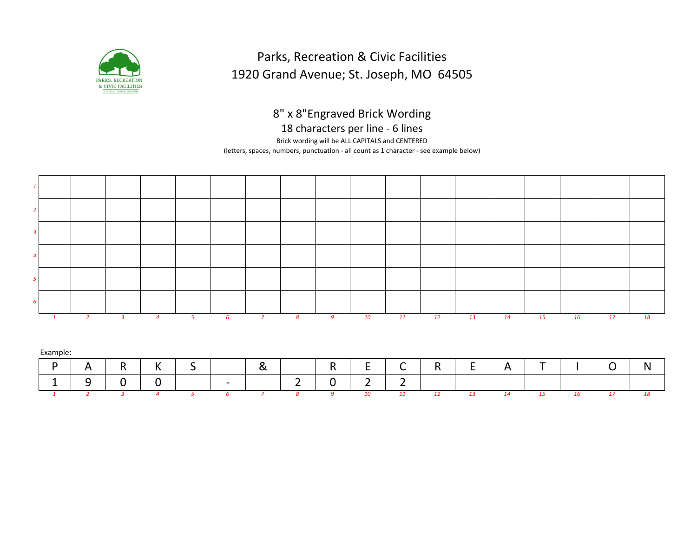

## Parks, Recreation & Civic Facilities 1920 Grand Avenue; St. Joseph, MO 64505

8" x 8"Engraved Brick Wording

18 characters per line - 6 lines

Brick wording will be ALL CAPITALS and CENTERED

(letters, spaces, numbers, punctuation - all count as 1 character - see example below)



| Example: |              |           |                   |                               |     |                  |        |                                 |                 |        |                |        |                      |                          |        |   |   |
|----------|--------------|-----------|-------------------|-------------------------------|-----|------------------|--------|---------------------------------|-----------------|--------|----------------|--------|----------------------|--------------------------|--------|---|---|
| D        | A            | D.<br>. . | $\mathbf{v}$<br>N | $\overline{\phantom{0}}$<br>ັ |     | ◠<br>$\sim$<br>ື |        | $\overline{\phantom{0}}$<br>. . | -<br>-          | ∽<br>ิ | D<br>. .       | -      | д<br>$\sim$ 100 $\,$ | $\overline{\phantom{a}}$ |        | ∽ | N |
| -        | -<br>◡<br>سه |           | ີ                 |                               | $-$ |                  | ∽<br>- | -<br>ີ                          | ∽<br>-          | -<br>- |                |        |                      |                          |        |   |   |
|          |              |           |                   |                               |     |                  |        |                                 | 10 <sup>1</sup> |        | $\overline{a}$ | $\sim$ | 11                   |                          | $\sim$ |   |   |